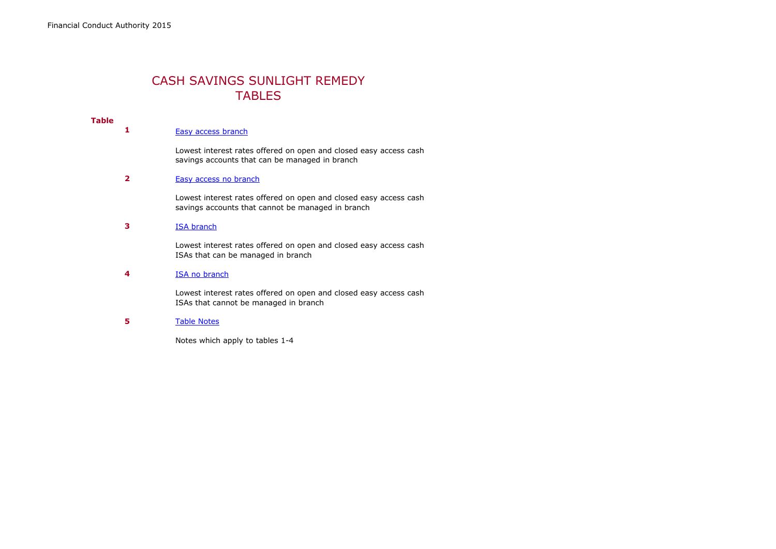# CASH SAVINGS SUNLIGHT REMEDY **TABLES**

#### **Table**

**1** Easy access branch

> [Lowest interest rates offered on open and closed easy access cash](#page-1-0)  savings accounts that can be managed in branch

#### **2** Easy access no branch

[Lowest interest rates offered on open and closed easy access cash](#page-2-0)  savings accounts that cannot be managed in branch

#### **3** ISA branch

[Lowest interest rates offered on open and closed easy access cash](#page-3-0)  ISAs that can be managed in branch

**4** ISA no branch

> [Lowest interest rates offered on open and closed easy access cash](#page-4-0)  ISAs that cannot be managed in branch

**5** Table Notes

[Notes which apply to tables 1-4](#page-5-0)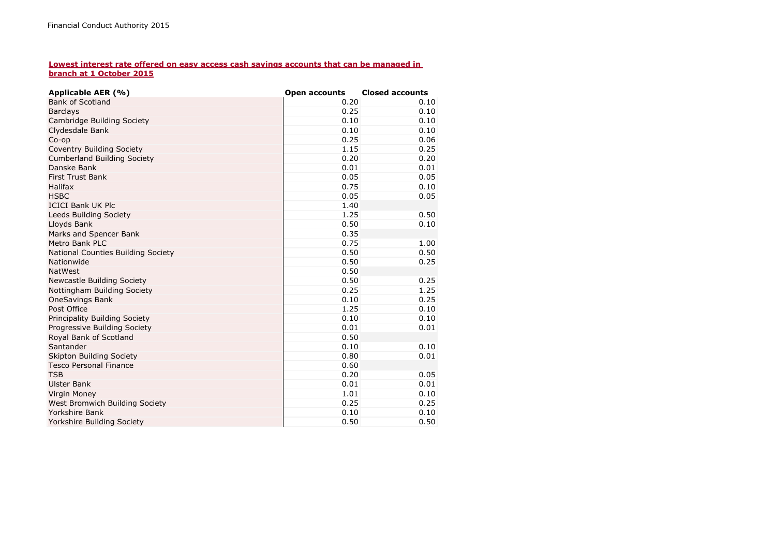### <span id="page-1-0"></span>**Lowest interest rate offered on easy access cash savings accounts that can be managed in branch at 1 October 2015**

| Applicable AER (%)                 | <b>Open accounts</b> | <b>Closed accounts</b> |
|------------------------------------|----------------------|------------------------|
| <b>Bank of Scotland</b>            | 0.20                 | 0.10                   |
| <b>Barclays</b>                    | 0.25                 | 0.10                   |
| Cambridge Building Society         | 0.10                 | 0.10                   |
| Clydesdale Bank                    | 0.10                 | 0.10                   |
| $Co$ -op                           | 0.25                 | 0.06                   |
| Coventry Building Society          | 1.15                 | 0.25                   |
| <b>Cumberland Building Society</b> | 0.20                 | 0.20                   |
| Danske Bank                        | 0.01                 | 0.01                   |
| <b>First Trust Bank</b>            | 0.05                 | 0.05                   |
| Halifax                            | 0.75                 | 0.10                   |
| <b>HSBC</b>                        | 0.05                 | 0.05                   |
| <b>ICICI Bank UK Plc</b>           | 1.40                 |                        |
| Leeds Building Society             | 1.25                 | 0.50                   |
| Lloyds Bank                        | 0.50                 | 0.10                   |
| Marks and Spencer Bank             | 0.35                 |                        |
| Metro Bank PLC                     | 0.75                 | 1.00                   |
| National Counties Building Society | 0.50                 | 0.50                   |
| Nationwide                         | 0.50                 | 0.25                   |
| <b>NatWest</b>                     | 0.50                 |                        |
| Newcastle Building Society         | 0.50                 | 0.25                   |
| Nottingham Building Society        | 0.25                 | 1.25                   |
| <b>OneSavings Bank</b>             | 0.10                 | 0.25                   |
| Post Office                        | 1.25                 | 0.10                   |
| Principality Building Society      | 0.10                 | 0.10                   |
| Progressive Building Society       | 0.01                 | 0.01                   |
| Royal Bank of Scotland             | 0.50                 |                        |
| Santander                          | 0.10                 | 0.10                   |
| <b>Skipton Building Society</b>    | 0.80                 | 0.01                   |
| <b>Tesco Personal Finance</b>      | 0.60                 |                        |
| <b>TSB</b>                         | 0.20                 | 0.05                   |
| <b>Ulster Bank</b>                 | 0.01                 | 0.01                   |
| Virgin Money                       | 1.01                 | 0.10                   |
| West Bromwich Building Society     | 0.25                 | 0.25                   |
| Yorkshire Bank                     | 0.10                 | 0.10                   |
| Yorkshire Building Society         | 0.50                 | 0.50                   |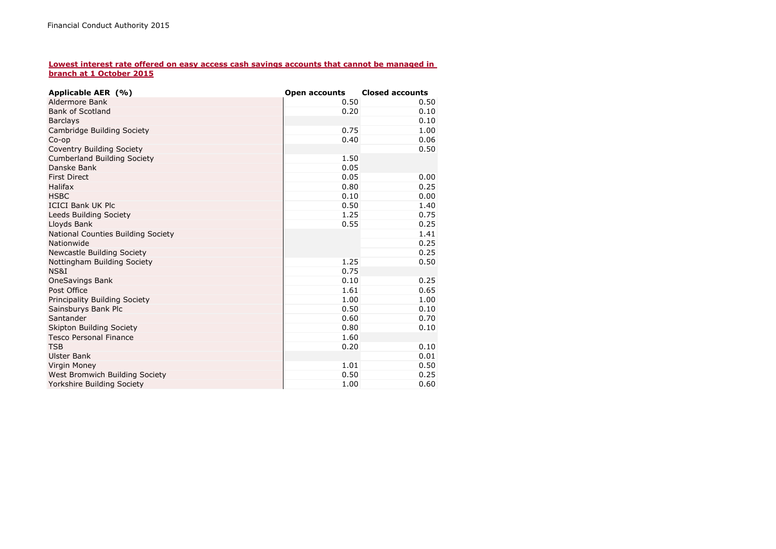#### <span id="page-2-0"></span>**Lowest interest rate offered on easy access cash savings accounts that cannot be managed in branch at 1 October 2015**

| Applicable AER (%)                 | <b>Open accounts</b> | <b>Closed accounts</b> |
|------------------------------------|----------------------|------------------------|
| Aldermore Bank                     | 0.50                 | 0.50                   |
| <b>Bank of Scotland</b>            | 0.20                 | 0.10                   |
| <b>Barclays</b>                    |                      | 0.10                   |
| Cambridge Building Society         | 0.75                 | 1.00                   |
| $Co$ -op                           | 0.40                 | 0.06                   |
| <b>Coventry Building Society</b>   |                      | 0.50                   |
| <b>Cumberland Building Society</b> | 1.50                 |                        |
| Danske Bank                        | 0.05                 |                        |
| <b>First Direct</b>                | 0.05                 | 0.00                   |
| <b>Halifax</b>                     | 0.80                 | 0.25                   |
| <b>HSBC</b>                        | 0.10                 | 0.00                   |
| <b>ICICI Bank UK Plc</b>           | 0.50                 | 1.40                   |
| Leeds Building Society             | 1.25                 | 0.75                   |
| Lloyds Bank                        | 0.55                 | 0.25                   |
| National Counties Building Society |                      | 1.41                   |
| Nationwide                         |                      | 0.25                   |
| Newcastle Building Society         |                      | 0.25                   |
| Nottingham Building Society        | 1.25                 | 0.50                   |
| NS&I                               | 0.75                 |                        |
| <b>OneSavings Bank</b>             | 0.10                 | 0.25                   |
| Post Office                        | 1.61                 | 0.65                   |
| Principality Building Society      | 1.00                 | 1.00                   |
| Sainsburys Bank Plc                | 0.50                 | 0.10                   |
| Santander                          | 0.60                 | 0.70                   |
| Skipton Building Society           | 0.80                 | 0.10                   |
| <b>Tesco Personal Finance</b>      | 1.60                 |                        |
| <b>TSB</b>                         | 0.20                 | 0.10                   |
| Ulster Bank                        |                      | 0.01                   |
| <b>Virgin Money</b>                | 1.01                 | 0.50                   |
| West Bromwich Building Society     | 0.50                 | 0.25                   |
| Yorkshire Building Society         | 1.00                 | 0.60                   |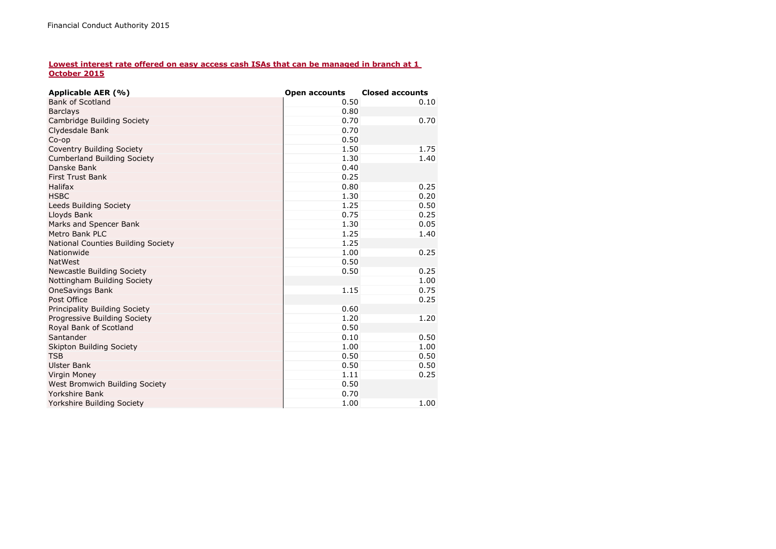### <span id="page-3-0"></span>**Lowest interest rate offered on easy access cash ISAs that can be managed in branch at 1 October 2015**

| Applicable AER (%)                 | <b>Open accounts</b> | <b>Closed accounts</b> |
|------------------------------------|----------------------|------------------------|
| <b>Bank of Scotland</b>            | 0.50                 | 0.10                   |
| <b>Barclays</b>                    | 0.80                 |                        |
| Cambridge Building Society         | 0.70                 | 0.70                   |
| Clydesdale Bank                    | 0.70                 |                        |
| $Co$ -op                           | 0.50                 |                        |
| Coventry Building Society          | 1.50                 | 1.75                   |
| <b>Cumberland Building Society</b> | 1.30                 | 1.40                   |
| Danske Bank                        | 0.40                 |                        |
| <b>First Trust Bank</b>            | 0.25                 |                        |
| <b>Halifax</b>                     | 0.80                 | 0.25                   |
| <b>HSBC</b>                        | 1.30                 | 0.20                   |
| <b>Leeds Building Society</b>      | 1.25                 | 0.50                   |
| Lloyds Bank                        | 0.75                 | 0.25                   |
| Marks and Spencer Bank             | 1.30                 | 0.05                   |
| Metro Bank PLC                     | 1.25                 | 1.40                   |
| National Counties Building Society | 1.25                 |                        |
| Nationwide                         | 1.00                 | 0.25                   |
| <b>NatWest</b>                     | 0.50                 |                        |
| Newcastle Building Society         | 0.50                 | 0.25                   |
| Nottingham Building Society        |                      | 1.00                   |
| <b>OneSavings Bank</b>             | 1.15                 | 0.75                   |
| Post Office                        |                      | 0.25                   |
| Principality Building Society      | 0.60                 |                        |
| Progressive Building Society       | 1.20                 | 1.20                   |
| Royal Bank of Scotland             | 0.50                 |                        |
| Santander                          | 0.10                 | 0.50                   |
| Skipton Building Society           | 1.00                 | 1.00                   |
| <b>TSB</b>                         | 0.50                 | 0.50                   |
| <b>Ulster Bank</b>                 | 0.50                 | 0.50                   |
| <b>Virgin Money</b>                | 1.11                 | 0.25                   |
| West Bromwich Building Society     | 0.50                 |                        |
| Yorkshire Bank                     | 0.70                 |                        |
| Yorkshire Building Society         | 1.00                 | 1.00                   |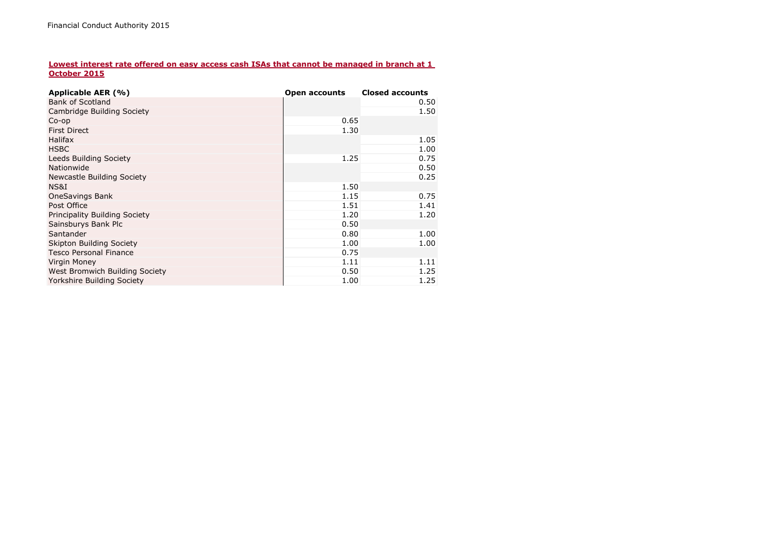<span id="page-4-0"></span>**Lowest interest rate offered on easy access cash ISAs that cannot be managed in branch at 1 October 2015**

| Applicable AER (%)              | <b>Open accounts</b> | <b>Closed accounts</b> |
|---------------------------------|----------------------|------------------------|
| <b>Bank of Scotland</b>         |                      | 0.50                   |
| Cambridge Building Society      |                      | 1.50                   |
| $Co$ -op                        | 0.65                 |                        |
| <b>First Direct</b>             | 1.30                 |                        |
| Halifax                         |                      | 1.05                   |
| <b>HSBC</b>                     |                      | 1.00                   |
| Leeds Building Society          | 1.25                 | 0.75                   |
| Nationwide                      |                      | 0.50                   |
| Newcastle Building Society      |                      | 0.25                   |
| NS&I                            | 1.50                 |                        |
| OneSavings Bank                 | 1.15                 | 0.75                   |
| Post Office                     | 1.51                 | 1.41                   |
| Principality Building Society   | 1.20                 | 1.20                   |
| Sainsburys Bank Plc             | 0.50                 |                        |
| Santander                       | 0.80                 | 1.00                   |
| <b>Skipton Building Society</b> | 1.00                 | 1.00                   |
| <b>Tesco Personal Finance</b>   | 0.75                 |                        |
| Virgin Money                    | 1.11                 | 1.11                   |
| West Bromwich Building Society  | 0.50                 | 1.25                   |
| Yorkshire Building Society      | 1.00                 | 1.25                   |